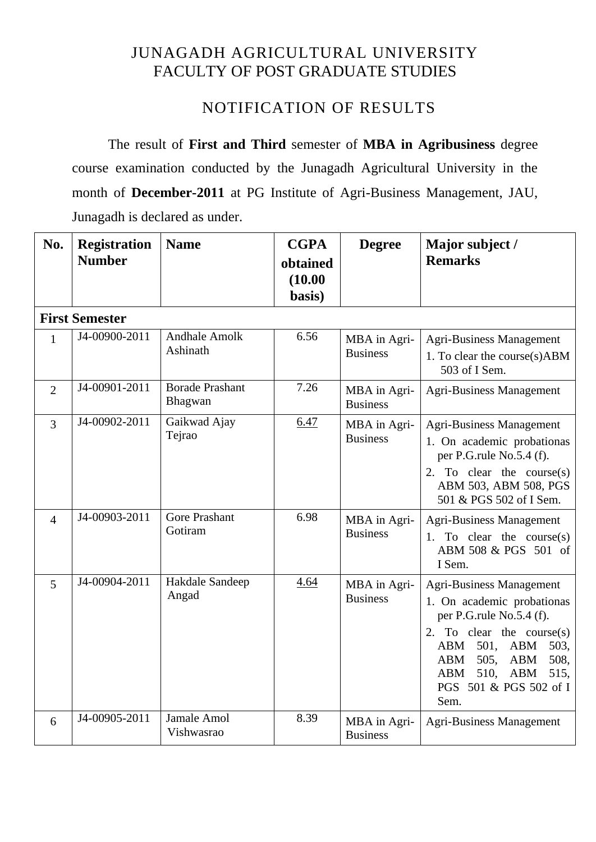# JUNAGADH AGRICULTURAL UNIVERSITY FACULTY OF POST GRADUATE STUDIES

# NOTIFICATION OF RESULTS

The result of **First and Third** semester of **MBA in Agribusiness** degree course examination conducted by the Junagadh Agricultural University in the month of **December-2011** at PG Institute of Agri-Business Management, JAU, Junagadh is declared as under.

| No.            | <b>Registration</b><br><b>Number</b> | <b>Name</b>                       | <b>CGPA</b><br>obtained<br>(10.00)<br>basis) | <b>Degree</b>                   | Major subject /<br><b>Remarks</b>                                                                                                                                                                                                                                      |
|----------------|--------------------------------------|-----------------------------------|----------------------------------------------|---------------------------------|------------------------------------------------------------------------------------------------------------------------------------------------------------------------------------------------------------------------------------------------------------------------|
|                | <b>First Semester</b>                |                                   |                                              |                                 |                                                                                                                                                                                                                                                                        |
| $\mathbf{1}$   | J4-00900-2011                        | <b>Andhale Amolk</b><br>Ashinath  | 6.56                                         | MBA in Agri-<br><b>Business</b> | <b>Agri-Business Management</b><br>1. To clear the course(s)ABM<br>503 of I Sem.                                                                                                                                                                                       |
| $\overline{2}$ | J4-00901-2011                        | <b>Borade Prashant</b><br>Bhagwan | 7.26                                         | MBA in Agri-<br><b>Business</b> | <b>Agri-Business Management</b>                                                                                                                                                                                                                                        |
| $\overline{3}$ | J4-00902-2011                        | Gaikwad Ajay<br>Tejrao            | 6.47                                         | MBA in Agri-<br><b>Business</b> | <b>Agri-Business Management</b><br>1. On academic probationas<br>per P.G.rule No.5.4 (f).<br>2. To clear the course $(s)$<br>ABM 503, ABM 508, PGS<br>501 & PGS 502 of I Sem.                                                                                          |
| $\overline{4}$ | J4-00903-2011                        | <b>Gore Prashant</b><br>Gotiram   | 6.98                                         | MBA in Agri-<br><b>Business</b> | <b>Agri-Business Management</b><br>1. To clear the course $(s)$<br>ABM 508 & PGS 501 of<br>I Sem.                                                                                                                                                                      |
| 5              | J4-00904-2011                        | Hakdale Sandeep<br>Angad          | 4.64                                         | MBA in Agri-<br><b>Business</b> | <b>Agri-Business Management</b><br>1. On academic probationas<br>per P.G.rule No.5.4 (f).<br>To clear the course $(s)$<br>2.<br>ABM<br>501,<br><b>ABM</b><br>503,<br>505,<br>508,<br>ABM<br><b>ABM</b><br>510,<br>ABM<br>515,<br>ABM<br>PGS 501 & PGS 502 of I<br>Sem. |
| 6              | J4-00905-2011                        | Jamale Amol<br>Vishwasrao         | 8.39                                         | MBA in Agri-<br><b>Business</b> | <b>Agri-Business Management</b>                                                                                                                                                                                                                                        |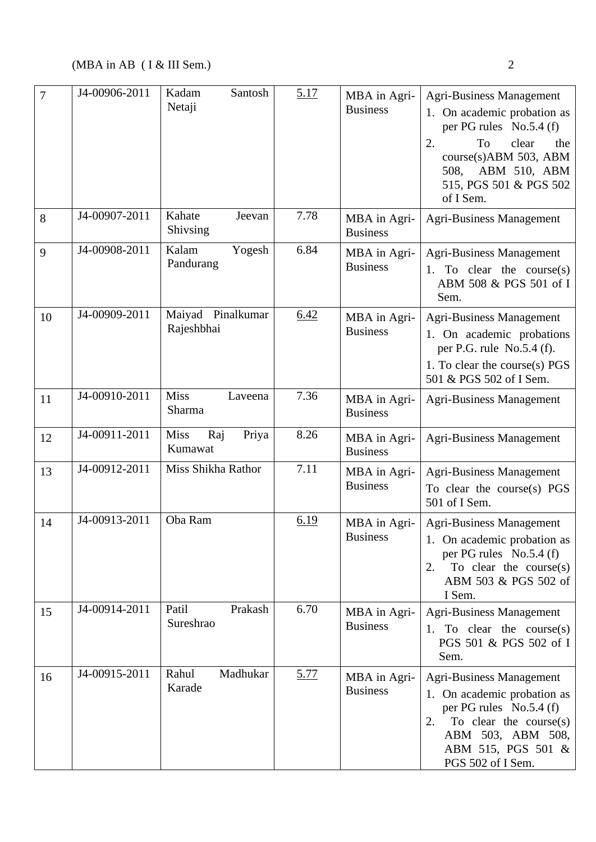| $\overline{7}$ | J4-00906-2011 | Kadam<br>Santosh<br>Netaji             | 5.17        | MBA in Agri-<br><b>Business</b> | <b>Agri-Business Management</b><br>1. On academic probation as<br>per PG rules No.5.4 (f)<br>2.<br>To<br>clear<br>the<br>course(s)ABM 503, ABM<br>ABM 510, ABM<br>508,<br>515, PGS 501 & PGS 502<br>of I Sem. |
|----------------|---------------|----------------------------------------|-------------|---------------------------------|---------------------------------------------------------------------------------------------------------------------------------------------------------------------------------------------------------------|
| 8              | J4-00907-2011 | Kahate<br>Jeevan<br>Shivsing           | 7.78        | MBA in Agri-<br><b>Business</b> | <b>Agri-Business Management</b>                                                                                                                                                                               |
| 9              | J4-00908-2011 | Kalam<br>Yogesh<br>Pandurang           | 6.84        | MBA in Agri-<br><b>Business</b> | <b>Agri-Business Management</b><br>1. To clear the course $(s)$<br>ABM 508 & PGS 501 of I<br>Sem.                                                                                                             |
| 10             | J4-00909-2011 | Pinalkumar<br>Maiyad<br>Rajeshbhai     | 6.42        | MBA in Agri-<br><b>Business</b> | Agri-Business Management<br>1. On academic probations<br>per P.G. rule $No.5.4$ (f).<br>1. To clear the course(s) PGS<br>501 & PGS 502 of I Sem.                                                              |
| 11             | J4-00910-2011 | <b>Miss</b><br>Laveena<br>Sharma       | 7.36        | MBA in Agri-<br><b>Business</b> | <b>Agri-Business Management</b>                                                                                                                                                                               |
| 12             | J4-00911-2011 | <b>Miss</b><br>Raj<br>Priya<br>Kumawat | 8.26        | MBA in Agri-<br><b>Business</b> | <b>Agri-Business Management</b>                                                                                                                                                                               |
| 13             | J4-00912-2011 | Miss Shikha Rathor                     | 7.11        | MBA in Agri-<br><b>Business</b> | <b>Agri-Business Management</b><br>To clear the course(s) PGS<br>501 of I Sem.                                                                                                                                |
| 14             | J4-00913-2011 | Oba Ram                                | 6.19        | MBA in Agri-<br><b>Business</b> | <b>Agri-Business Management</b><br>1. On academic probation as<br>per PG rules No.5.4 (f)<br>To clear the course $(s)$<br>2.<br>ABM 503 & PGS 502 of<br>I Sem.                                                |
| 15             | J4-00914-2011 | Patil<br>Prakash<br>Sureshrao          | 6.70        | MBA in Agri-<br><b>Business</b> | <b>Agri-Business Management</b><br>1. To clear the course $(s)$<br>PGS 501 & PGS 502 of I<br>Sem.                                                                                                             |
| 16             | J4-00915-2011 | Rahul<br>Madhukar<br>Karade            | <u>5.77</u> | MBA in Agri-<br><b>Business</b> | <b>Agri-Business Management</b><br>1. On academic probation as<br>per PG rules No.5.4 (f)<br>To clear the course $(s)$<br>2.<br>ABM 503, ABM 508,<br>ABM 515, PGS 501 &<br>PGS 502 of I Sem.                  |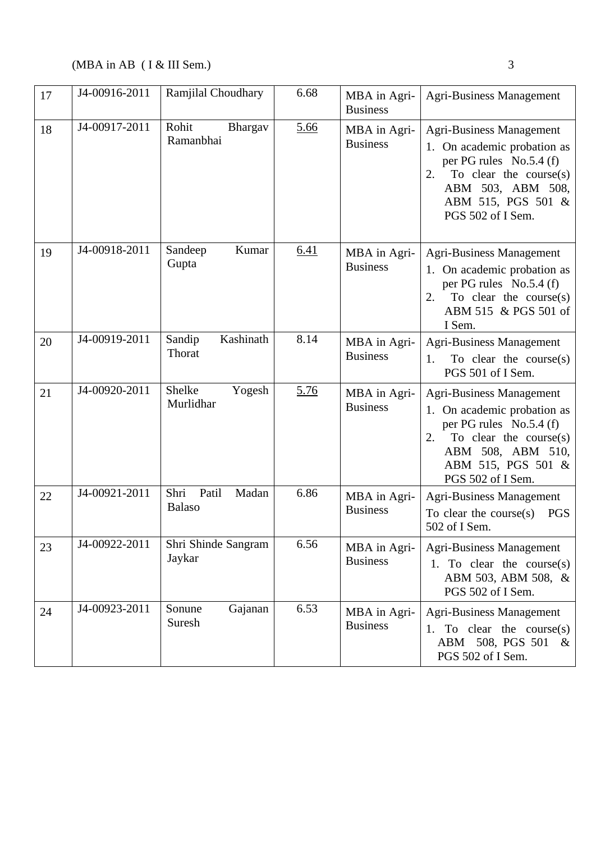| 17 | J4-00916-2011 | Ramjilal Choudhary                      | 6.68 | MBA in Agri-<br><b>Business</b> | <b>Agri-Business Management</b>                                                                                                                                                              |
|----|---------------|-----------------------------------------|------|---------------------------------|----------------------------------------------------------------------------------------------------------------------------------------------------------------------------------------------|
| 18 | J4-00917-2011 | Rohit<br>Bhargav<br>Ramanbhai           | 5.66 | MBA in Agri-<br><b>Business</b> | <b>Agri-Business Management</b><br>1. On academic probation as<br>per PG rules No.5.4 (f)<br>To clear the course $(s)$<br>2.<br>ABM 503, ABM 508,<br>ABM 515, PGS 501 &<br>PGS 502 of I Sem. |
| 19 | J4-00918-2011 | Kumar<br>Sandeep<br>Gupta               | 6.41 | MBA in Agri-<br><b>Business</b> | <b>Agri-Business Management</b><br>1. On academic probation as<br>per PG rules No.5.4 (f)<br>To clear the course $(s)$<br>2.<br>ABM 515 & PGS 501 of<br>I Sem.                               |
| 20 | J4-00919-2011 | Kashinath<br>Sandip<br>Thorat           | 8.14 | MBA in Agri-<br><b>Business</b> | <b>Agri-Business Management</b><br>To clear the course $(s)$<br>1.<br>PGS 501 of I Sem.                                                                                                      |
| 21 | J4-00920-2011 | Shelke<br>Yogesh<br>Murlidhar           | 5.76 | MBA in Agri-<br><b>Business</b> | <b>Agri-Business Management</b><br>1. On academic probation as<br>per PG rules No.5.4 (f)<br>To clear the course $(s)$<br>2.<br>ABM 508, ABM 510,<br>ABM 515, PGS 501 &<br>PGS 502 of I Sem. |
| 22 | J4-00921-2011 | Shri<br>Patil<br>Madan<br><b>Balaso</b> | 6.86 | MBA in Agri-<br><b>Business</b> | <b>Agri-Business Management</b><br>To clear the course $(s)$<br><b>PGS</b><br>502 of I Sem.                                                                                                  |
| 23 | J4-00922-2011 | Shri Shinde Sangram<br>Jaykar           | 6.56 | MBA in Agri-<br><b>Business</b> | <b>Agri-Business Management</b><br>1. To clear the course $(s)$<br>ABM 503, ABM 508, &<br>PGS 502 of I Sem.                                                                                  |
| 24 | J4-00923-2011 | Sonune<br>Gajanan<br>Suresh             | 6.53 | MBA in Agri-<br><b>Business</b> | <b>Agri-Business Management</b><br>1. To clear the course $(s)$<br>508, PGS 501<br>ABM<br>$\&$<br>PGS 502 of I Sem.                                                                          |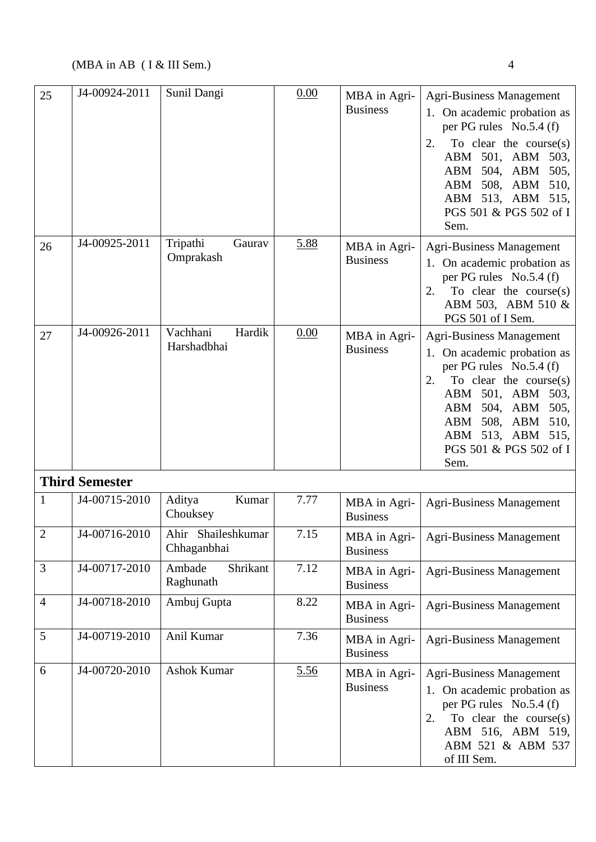| 25             | J4-00924-2011         | Sunil Dangi                       | 0.00 | MBA in Agri-<br><b>Business</b> | <b>Agri-Business Management</b><br>1. On academic probation as<br>per PG rules No.5.4 (f)<br>To clear the course $(s)$<br>2.<br>ABM 501, ABM<br>503,<br>504, ABM<br>ABM<br>505,<br>ABM 508, ABM<br>510,<br>ABM 513, ABM 515,<br>PGS 501 & PGS 502 of I<br>Sem.    |
|----------------|-----------------------|-----------------------------------|------|---------------------------------|-------------------------------------------------------------------------------------------------------------------------------------------------------------------------------------------------------------------------------------------------------------------|
| 26             | J4-00925-2011         | Tripathi<br>Gaurav<br>Omprakash   | 5.88 | MBA in Agri-<br><b>Business</b> | <b>Agri-Business Management</b><br>1. On academic probation as<br>per PG rules No.5.4 (f)<br>2.<br>To clear the course $(s)$<br>ABM 503, ABM 510 &<br>PGS 501 of I Sem.                                                                                           |
| 27             | J4-00926-2011         | Vachhani<br>Hardik<br>Harshadbhai | 0.00 | MBA in Agri-<br><b>Business</b> | <b>Agri-Business Management</b><br>1. On academic probation as<br>per PG rules No.5.4 (f)<br>2.<br>To clear the course $(s)$<br>ABM 501, ABM<br>503,<br>504, ABM<br>505,<br>ABM<br>508, ABM<br>ABM<br>510,<br>ABM 513, ABM 515,<br>PGS 501 & PGS 502 of I<br>Sem. |
|                | <b>Third Semester</b> |                                   |      |                                 |                                                                                                                                                                                                                                                                   |
|                | J4-00715-2010         | Kumar<br>Aditya<br>Chouksey       | 7.77 | MBA in Agri-<br><b>Business</b> | <b>Agri-Business Management</b>                                                                                                                                                                                                                                   |
| $\overline{2}$ | J4-00716-2010         | Ahir Shaileshkumar<br>Chhaganbhai | 7.15 | MBA in Agri-<br><b>Business</b> | <b>Agri-Business Management</b>                                                                                                                                                                                                                                   |
| 3              | J4-00717-2010         | Shrikant<br>Ambade<br>Raghunath   | 7.12 | MBA in Agri-<br><b>Business</b> | <b>Agri-Business Management</b>                                                                                                                                                                                                                                   |
| $\overline{4}$ | J4-00718-2010         | Ambuj Gupta                       | 8.22 | MBA in Agri-<br><b>Business</b> | <b>Agri-Business Management</b>                                                                                                                                                                                                                                   |
| 5              | J4-00719-2010         | Anil Kumar                        | 7.36 | MBA in Agri-<br><b>Business</b> | <b>Agri-Business Management</b>                                                                                                                                                                                                                                   |
| 6              | J4-00720-2010         | Ashok Kumar                       | 5.56 | MBA in Agri-<br><b>Business</b> | <b>Agri-Business Management</b><br>1. On academic probation as<br>per PG rules No.5.4 (f)<br>To clear the course $(s)$<br>2.<br>ABM 516, ABM 519,<br>ABM 521 & ABM 537<br>of III Sem.                                                                             |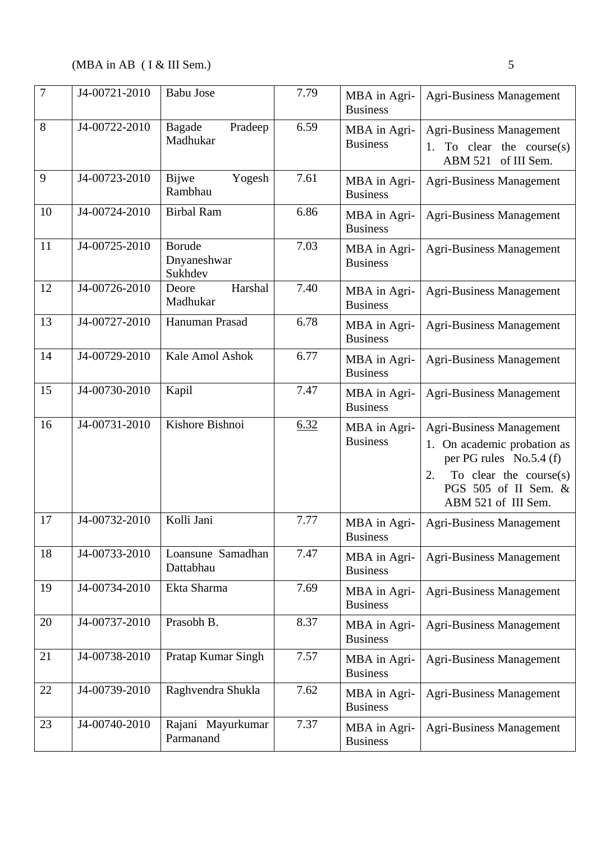| $\overline{7}$ | J4-00721-2010 | <b>Babu Jose</b>                        | 7.79 | MBA in Agri-<br><b>Business</b> | <b>Agri-Business Management</b>                                                                                                                                             |
|----------------|---------------|-----------------------------------------|------|---------------------------------|-----------------------------------------------------------------------------------------------------------------------------------------------------------------------------|
| 8              | J4-00722-2010 | Bagade<br>Pradeep<br>Madhukar           | 6.59 | MBA in Agri-<br><b>Business</b> | <b>Agri-Business Management</b><br>To clear the course $(s)$<br>ABM 521 of III Sem.                                                                                         |
| 9              | J4-00723-2010 | Bijwe<br>Yogesh<br>Rambhau              | 7.61 | MBA in Agri-<br><b>Business</b> | <b>Agri-Business Management</b>                                                                                                                                             |
| 10             | J4-00724-2010 | <b>Birbal Ram</b>                       | 6.86 | MBA in Agri-<br><b>Business</b> | <b>Agri-Business Management</b>                                                                                                                                             |
| 11             | J4-00725-2010 | <b>Borude</b><br>Dnyaneshwar<br>Sukhdev | 7.03 | MBA in Agri-<br><b>Business</b> | <b>Agri-Business Management</b>                                                                                                                                             |
| 12             | J4-00726-2010 | Harshal<br>Deore<br>Madhukar            | 7.40 | MBA in Agri-<br><b>Business</b> | <b>Agri-Business Management</b>                                                                                                                                             |
| 13             | J4-00727-2010 | Hanuman Prasad                          | 6.78 | MBA in Agri-<br><b>Business</b> | <b>Agri-Business Management</b>                                                                                                                                             |
| 14             | J4-00729-2010 | Kale Amol Ashok                         | 6.77 | MBA in Agri-<br><b>Business</b> | <b>Agri-Business Management</b>                                                                                                                                             |
| 15             | J4-00730-2010 | Kapil                                   | 7.47 | MBA in Agri-<br><b>Business</b> | <b>Agri-Business Management</b>                                                                                                                                             |
| 16             | J4-00731-2010 | Kishore Bishnoi                         | 6.32 | MBA in Agri-<br><b>Business</b> | <b>Agri-Business Management</b><br>1. On academic probation as<br>per PG rules No.5.4 (f)<br>To clear the course $(s)$<br>2.<br>PGS 505 of II Sem. &<br>ABM 521 of III Sem. |
| 17             | J4-00732-2010 | Kolli Jani                              | 7.77 | MBA in Agri-<br><b>Business</b> | <b>Agri-Business Management</b>                                                                                                                                             |
| 18             | J4-00733-2010 | Loansune Samadhan<br>Dattabhau          | 7.47 | MBA in Agri-<br><b>Business</b> | <b>Agri-Business Management</b>                                                                                                                                             |
| 19             | J4-00734-2010 | Ekta Sharma                             | 7.69 | MBA in Agri-<br><b>Business</b> | <b>Agri-Business Management</b>                                                                                                                                             |
| 20             | J4-00737-2010 | Prasobh B.                              | 8.37 | MBA in Agri-<br><b>Business</b> | Agri-Business Management                                                                                                                                                    |
| 21             | J4-00738-2010 | Pratap Kumar Singh                      | 7.57 | MBA in Agri-<br><b>Business</b> | <b>Agri-Business Management</b>                                                                                                                                             |
| 22             | J4-00739-2010 | Raghvendra Shukla                       | 7.62 | MBA in Agri-<br><b>Business</b> | <b>Agri-Business Management</b>                                                                                                                                             |
| 23             | J4-00740-2010 | Rajani Mayurkumar<br>Parmanand          | 7.37 | MBA in Agri-<br><b>Business</b> | <b>Agri-Business Management</b>                                                                                                                                             |